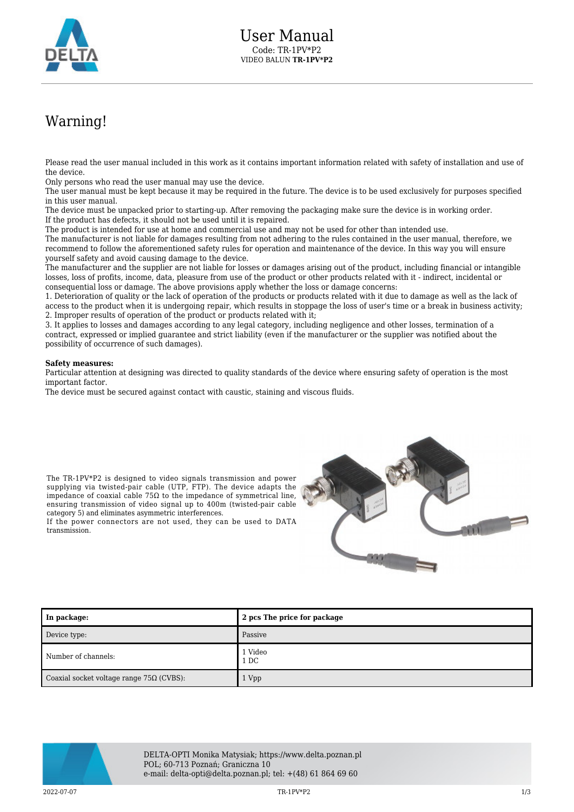

## Warning!

Please read the user manual included in this work as it contains important information related with safety of installation and use of the device.

Only persons who read the user manual may use the device.

The user manual must be kept because it may be required in the future. The device is to be used exclusively for purposes specified in this user manual.

The device must be unpacked prior to starting-up. After removing the packaging make sure the device is in working order. If the product has defects, it should not be used until it is repaired.

The product is intended for use at home and commercial use and may not be used for other than intended use.

The manufacturer is not liable for damages resulting from not adhering to the rules contained in the user manual, therefore, we recommend to follow the aforementioned safety rules for operation and maintenance of the device. In this way you will ensure yourself safety and avoid causing damage to the device.

The manufacturer and the supplier are not liable for losses or damages arising out of the product, including financial or intangible losses, loss of profits, income, data, pleasure from use of the product or other products related with it - indirect, incidental or consequential loss or damage. The above provisions apply whether the loss or damage concerns:

1. Deterioration of quality or the lack of operation of the products or products related with it due to damage as well as the lack of access to the product when it is undergoing repair, which results in stoppage the loss of user's time or a break in business activity; 2. Improper results of operation of the product or products related with it;

3. It applies to losses and damages according to any legal category, including negligence and other losses, termination of a contract, expressed or implied guarantee and strict liability (even if the manufacturer or the supplier was notified about the possibility of occurrence of such damages).

## **Safety measures:**

transmission.

category 5) and eliminates asymmetric interferences.

Particular attention at designing was directed to quality standards of the device where ensuring safety of operation is the most important factor.

The device must be secured against contact with caustic, staining and viscous fluids.



| In package:                                     | 2 pcs The price for package |
|-------------------------------------------------|-----------------------------|
| Device type:                                    | Passive                     |
| Number of channels:                             | 1 Video<br>1 DC             |
| Coaxial socket voltage range $75\Omega$ (CVBS): | 1 Vpp                       |



DELTA-OPTI Monika Matysiak; https://www.delta.poznan.pl POL; 60-713 Poznań; Graniczna 10 e-mail: delta-opti@delta.poznan.pl; tel: +(48) 61 864 69 60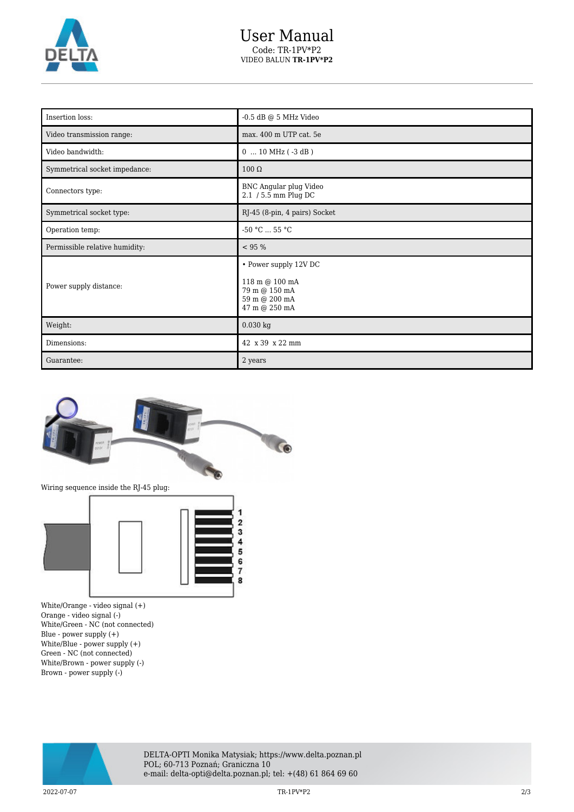

| Insertion loss:                | $-0.5$ dB @ $5$ MHz Video                                                                  |
|--------------------------------|--------------------------------------------------------------------------------------------|
| Video transmission range:      | max. 400 m UTP cat. 5e                                                                     |
| Video bandwidth:               | $0$ 10 MHz ( $-3$ dB)                                                                      |
| Symmetrical socket impedance:  | $100 \Omega$                                                                               |
| Connectors type:               | BNC Angular plug Video<br>2.1 / 5.5 mm Plug DC                                             |
| Symmetrical socket type:       | RJ-45 (8-pin, 4 pairs) Socket                                                              |
| Operation temp:                | $-50$ °C $\ldots$ 55 °C                                                                    |
|                                |                                                                                            |
| Permissible relative humidity: | < 95 %                                                                                     |
| Power supply distance:         | • Power supply 12V DC<br>118 m @ 100 mA<br>79 m @ 150 mA<br>59 m @ 200 mA<br>47 m @ 250 mA |
| Weight:                        | $0.030$ kg                                                                                 |
| Dimensions:                    | 42 x 39 x 22 mm                                                                            |



White/Orange - video signal (+) Orange - video signal (-) White/Green - NC (not connected) Blue - power supply (+) White/Blue - power supply (+) Green - NC (not connected) White/Brown - power supply (-) Brown - power supply (-)